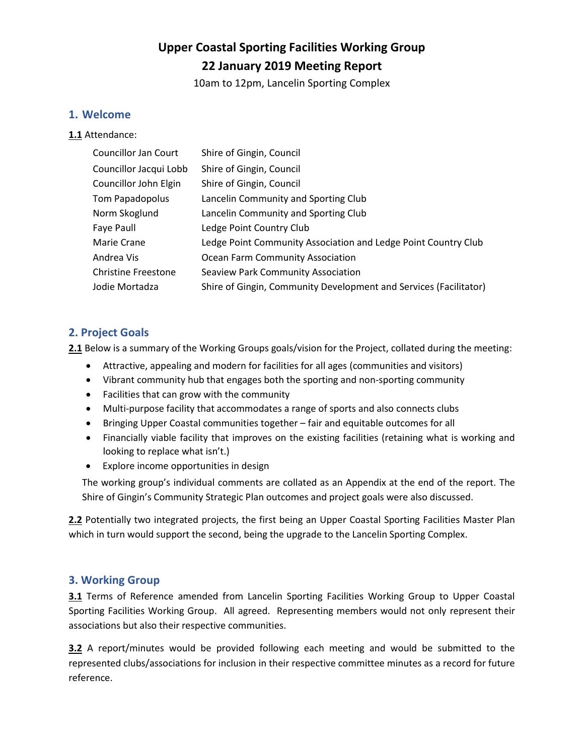# **Upper Coastal Sporting Facilities Working Group 22 January 2019 Meeting Report**

10am to 12pm, Lancelin Sporting Complex

#### **1. Welcome**

**1.1** Attendance:

| <b>Councillor Jan Court</b> | Shire of Gingin, Council                                          |
|-----------------------------|-------------------------------------------------------------------|
| Councillor Jacqui Lobb      | Shire of Gingin, Council                                          |
| Councillor John Elgin       | Shire of Gingin, Council                                          |
| Tom Papadopolus             | Lancelin Community and Sporting Club                              |
| Norm Skoglund               | Lancelin Community and Sporting Club                              |
| Faye Paull                  | Ledge Point Country Club                                          |
| Marie Crane                 | Ledge Point Community Association and Ledge Point Country Club    |
| Andrea Vis                  | Ocean Farm Community Association                                  |
| <b>Christine Freestone</b>  | <b>Seaview Park Community Association</b>                         |
| Jodie Mortadza              | Shire of Gingin, Community Development and Services (Facilitator) |

### **2. Project Goals**

**2.1** Below is a summary of the Working Groups goals/vision for the Project, collated during the meeting:

- Attractive, appealing and modern for facilities for all ages (communities and visitors)
- Vibrant community hub that engages both the sporting and non-sporting community
- Facilities that can grow with the community
- Multi-purpose facility that accommodates a range of sports and also connects clubs
- Bringing Upper Coastal communities together fair and equitable outcomes for all
- Financially viable facility that improves on the existing facilities (retaining what is working and looking to replace what isn't.)
- Explore income opportunities in design

The working group's individual comments are collated as an Appendix at the end of the report. The Shire of Gingin's Community Strategic Plan outcomes and project goals were also discussed.

**2.2** Potentially two integrated projects, the first being an Upper Coastal Sporting Facilities Master Plan which in turn would support the second, being the upgrade to the Lancelin Sporting Complex.

#### **3. Working Group**

**3.1** Terms of Reference amended from Lancelin Sporting Facilities Working Group to Upper Coastal Sporting Facilities Working Group. All agreed. Representing members would not only represent their associations but also their respective communities.

**3.2** A report/minutes would be provided following each meeting and would be submitted to the represented clubs/associations for inclusion in their respective committee minutes as a record for future reference.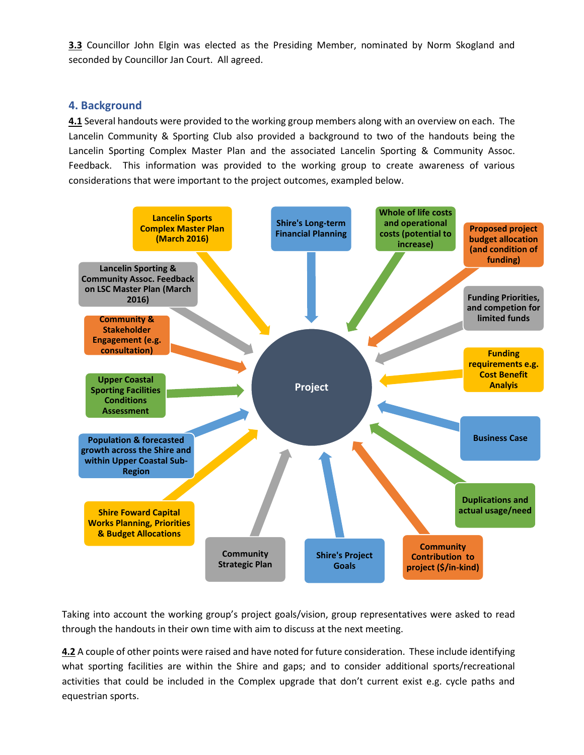**3.3** Councillor John Elgin was elected as the Presiding Member, nominated by Norm Skogland and seconded by Councillor Jan Court. All agreed.

#### **4. Background**

**4.1** Several handouts were provided to the working group members along with an overview on each. The Lancelin Community & Sporting Club also provided a background to two of the handouts being the Lancelin Sporting Complex Master Plan and the associated Lancelin Sporting & Community Assoc. Feedback. This information was provided to the working group to create awareness of various considerations that were important to the project outcomes, exampled below.



Taking into account the working group's project goals/vision, group representatives were asked to read through the handouts in their own time with aim to discuss at the next meeting.

**4.2** A couple of other points were raised and have noted for future consideration. These include identifying what sporting facilities are within the Shire and gaps; and to consider additional sports/recreational activities that could be included in the Complex upgrade that don't current exist e.g. cycle paths and equestrian sports.